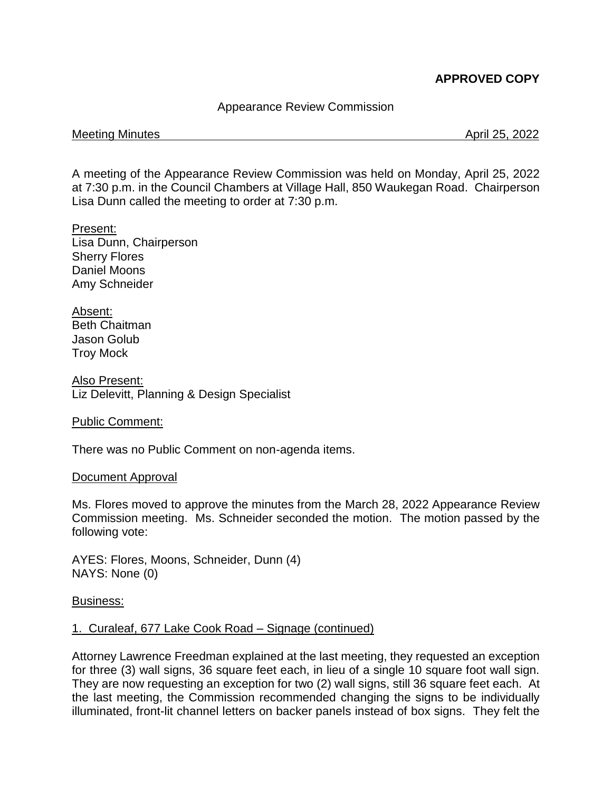# **APPROVED COPY**

# Appearance Review Commission

#### Meeting Minutes **April 25, 2022**

A meeting of the Appearance Review Commission was held on Monday, April 25, 2022 at 7:30 p.m. in the Council Chambers at Village Hall, 850 Waukegan Road. Chairperson Lisa Dunn called the meeting to order at 7:30 p.m.

Present: Lisa Dunn, Chairperson Sherry Flores Daniel Moons Amy Schneider

Absent: Beth Chaitman Jason Golub Troy Mock

Also Present: Liz Delevitt, Planning & Design Specialist

#### Public Comment:

There was no Public Comment on non-agenda items.

#### Document Approval

Ms. Flores moved to approve the minutes from the March 28, 2022 Appearance Review Commission meeting. Ms. Schneider seconded the motion. The motion passed by the following vote:

AYES: Flores, Moons, Schneider, Dunn (4) NAYS: None (0)

Business:

# 1. Curaleaf, 677 Lake Cook Road – Signage (continued)

Attorney Lawrence Freedman explained at the last meeting, they requested an exception for three (3) wall signs, 36 square feet each, in lieu of a single 10 square foot wall sign. They are now requesting an exception for two (2) wall signs, still 36 square feet each. At the last meeting, the Commission recommended changing the signs to be individually illuminated, front-lit channel letters on backer panels instead of box signs. They felt the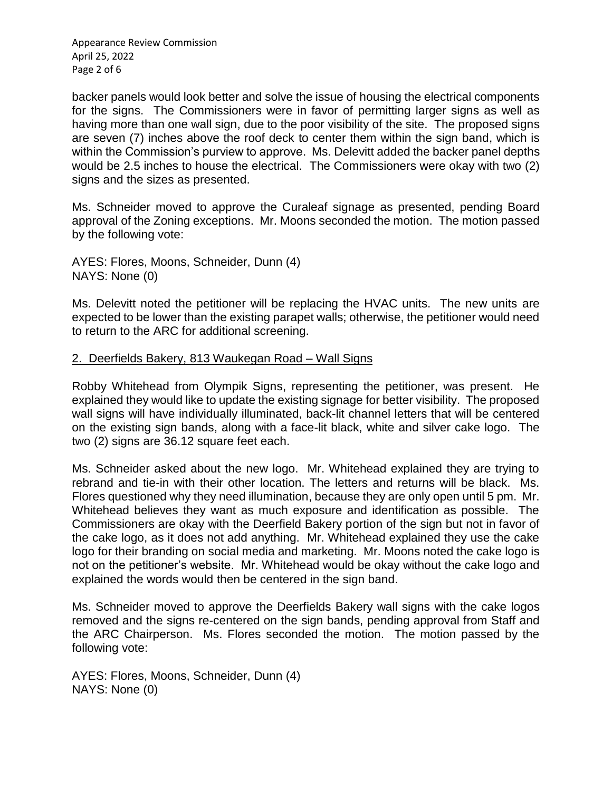Appearance Review Commission April 25, 2022 Page 2 of 6

backer panels would look better and solve the issue of housing the electrical components for the signs. The Commissioners were in favor of permitting larger signs as well as having more than one wall sign, due to the poor visibility of the site. The proposed signs are seven (7) inches above the roof deck to center them within the sign band, which is within the Commission's purview to approve. Ms. Delevitt added the backer panel depths would be 2.5 inches to house the electrical. The Commissioners were okay with two (2) signs and the sizes as presented.

Ms. Schneider moved to approve the Curaleaf signage as presented, pending Board approval of the Zoning exceptions. Mr. Moons seconded the motion. The motion passed by the following vote:

AYES: Flores, Moons, Schneider, Dunn (4) NAYS: None (0)

Ms. Delevitt noted the petitioner will be replacing the HVAC units. The new units are expected to be lower than the existing parapet walls; otherwise, the petitioner would need to return to the ARC for additional screening.

### 2. Deerfields Bakery, 813 Waukegan Road – Wall Signs

Robby Whitehead from Olympik Signs, representing the petitioner, was present. He explained they would like to update the existing signage for better visibility. The proposed wall signs will have individually illuminated, back-lit channel letters that will be centered on the existing sign bands, along with a face-lit black, white and silver cake logo. The two (2) signs are 36.12 square feet each.

Ms. Schneider asked about the new logo. Mr. Whitehead explained they are trying to rebrand and tie-in with their other location. The letters and returns will be black. Ms. Flores questioned why they need illumination, because they are only open until 5 pm. Mr. Whitehead believes they want as much exposure and identification as possible. The Commissioners are okay with the Deerfield Bakery portion of the sign but not in favor of the cake logo, as it does not add anything. Mr. Whitehead explained they use the cake logo for their branding on social media and marketing. Mr. Moons noted the cake logo is not on the petitioner's website. Mr. Whitehead would be okay without the cake logo and explained the words would then be centered in the sign band.

Ms. Schneider moved to approve the Deerfields Bakery wall signs with the cake logos removed and the signs re-centered on the sign bands, pending approval from Staff and the ARC Chairperson. Ms. Flores seconded the motion. The motion passed by the following vote:

AYES: Flores, Moons, Schneider, Dunn (4) NAYS: None (0)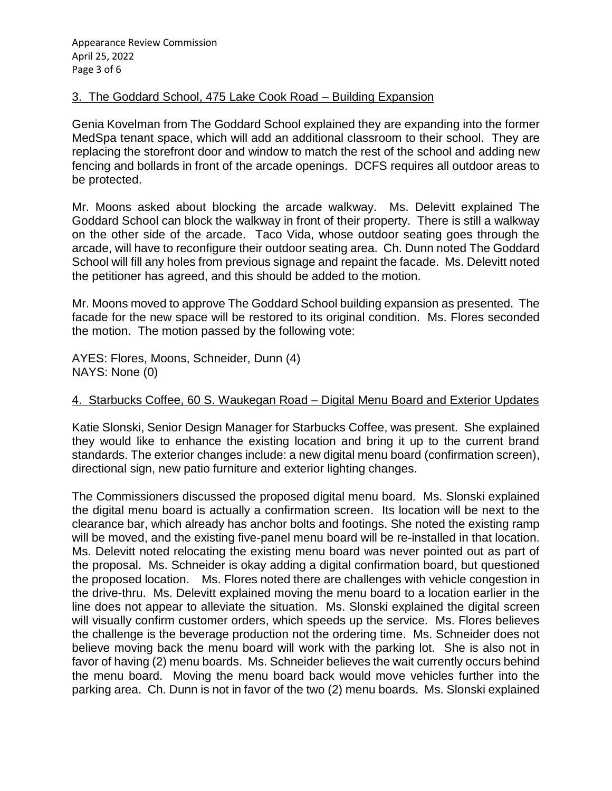## 3. The Goddard School, 475 Lake Cook Road – Building Expansion

Genia Kovelman from The Goddard School explained they are expanding into the former MedSpa tenant space, which will add an additional classroom to their school. They are replacing the storefront door and window to match the rest of the school and adding new fencing and bollards in front of the arcade openings. DCFS requires all outdoor areas to be protected.

Mr. Moons asked about blocking the arcade walkway. Ms. Delevitt explained The Goddard School can block the walkway in front of their property. There is still a walkway on the other side of the arcade. Taco Vida, whose outdoor seating goes through the arcade, will have to reconfigure their outdoor seating area. Ch. Dunn noted The Goddard School will fill any holes from previous signage and repaint the facade. Ms. Delevitt noted the petitioner has agreed, and this should be added to the motion.

Mr. Moons moved to approve The Goddard School building expansion as presented. The facade for the new space will be restored to its original condition. Ms. Flores seconded the motion. The motion passed by the following vote:

AYES: Flores, Moons, Schneider, Dunn (4) NAYS: None (0)

# 4. Starbucks Coffee, 60 S. Waukegan Road – Digital Menu Board and Exterior Updates

Katie Slonski, Senior Design Manager for Starbucks Coffee, was present. She explained they would like to enhance the existing location and bring it up to the current brand standards. The exterior changes include: a new digital menu board (confirmation screen), directional sign, new patio furniture and exterior lighting changes.

The Commissioners discussed the proposed digital menu board. Ms. Slonski explained the digital menu board is actually a confirmation screen. Its location will be next to the clearance bar, which already has anchor bolts and footings. She noted the existing ramp will be moved, and the existing five-panel menu board will be re-installed in that location. Ms. Delevitt noted relocating the existing menu board was never pointed out as part of the proposal. Ms. Schneider is okay adding a digital confirmation board, but questioned the proposed location. Ms. Flores noted there are challenges with vehicle congestion in the drive-thru. Ms. Delevitt explained moving the menu board to a location earlier in the line does not appear to alleviate the situation. Ms. Slonski explained the digital screen will visually confirm customer orders, which speeds up the service. Ms. Flores believes the challenge is the beverage production not the ordering time. Ms. Schneider does not believe moving back the menu board will work with the parking lot. She is also not in favor of having (2) menu boards. Ms. Schneider believes the wait currently occurs behind the menu board. Moving the menu board back would move vehicles further into the parking area. Ch. Dunn is not in favor of the two (2) menu boards. Ms. Slonski explained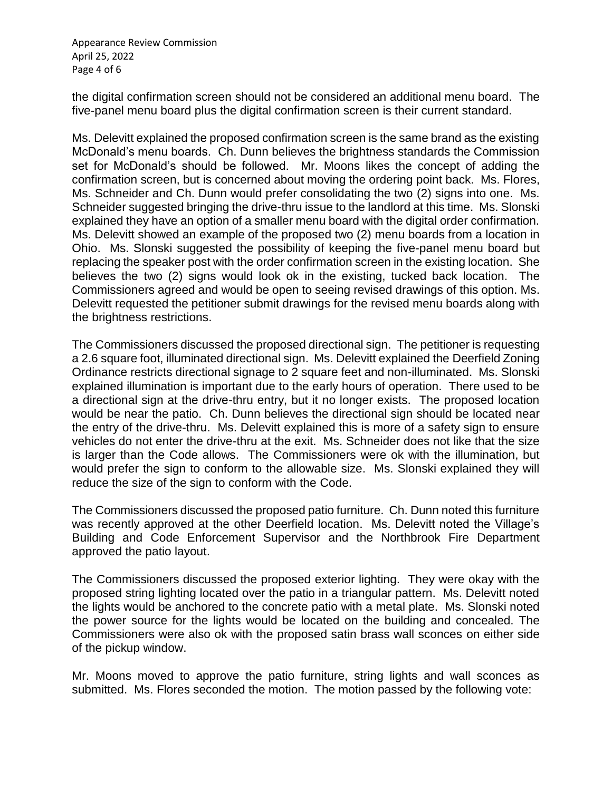Appearance Review Commission April 25, 2022 Page 4 of 6

the digital confirmation screen should not be considered an additional menu board. The five-panel menu board plus the digital confirmation screen is their current standard.

Ms. Delevitt explained the proposed confirmation screen is the same brand as the existing McDonald's menu boards. Ch. Dunn believes the brightness standards the Commission set for McDonald's should be followed. Mr. Moons likes the concept of adding the confirmation screen, but is concerned about moving the ordering point back. Ms. Flores, Ms. Schneider and Ch. Dunn would prefer consolidating the two (2) signs into one. Ms. Schneider suggested bringing the drive-thru issue to the landlord at this time. Ms. Slonski explained they have an option of a smaller menu board with the digital order confirmation. Ms. Delevitt showed an example of the proposed two (2) menu boards from a location in Ohio. Ms. Slonski suggested the possibility of keeping the five-panel menu board but replacing the speaker post with the order confirmation screen in the existing location. She believes the two (2) signs would look ok in the existing, tucked back location. The Commissioners agreed and would be open to seeing revised drawings of this option. Ms. Delevitt requested the petitioner submit drawings for the revised menu boards along with the brightness restrictions.

The Commissioners discussed the proposed directional sign. The petitioner is requesting a 2.6 square foot, illuminated directional sign. Ms. Delevitt explained the Deerfield Zoning Ordinance restricts directional signage to 2 square feet and non-illuminated. Ms. Slonski explained illumination is important due to the early hours of operation. There used to be a directional sign at the drive-thru entry, but it no longer exists. The proposed location would be near the patio. Ch. Dunn believes the directional sign should be located near the entry of the drive-thru. Ms. Delevitt explained this is more of a safety sign to ensure vehicles do not enter the drive-thru at the exit. Ms. Schneider does not like that the size is larger than the Code allows. The Commissioners were ok with the illumination, but would prefer the sign to conform to the allowable size. Ms. Slonski explained they will reduce the size of the sign to conform with the Code.

The Commissioners discussed the proposed patio furniture. Ch. Dunn noted this furniture was recently approved at the other Deerfield location. Ms. Delevitt noted the Village's Building and Code Enforcement Supervisor and the Northbrook Fire Department approved the patio layout.

The Commissioners discussed the proposed exterior lighting. They were okay with the proposed string lighting located over the patio in a triangular pattern. Ms. Delevitt noted the lights would be anchored to the concrete patio with a metal plate. Ms. Slonski noted the power source for the lights would be located on the building and concealed. The Commissioners were also ok with the proposed satin brass wall sconces on either side of the pickup window.

Mr. Moons moved to approve the patio furniture, string lights and wall sconces as submitted. Ms. Flores seconded the motion. The motion passed by the following vote: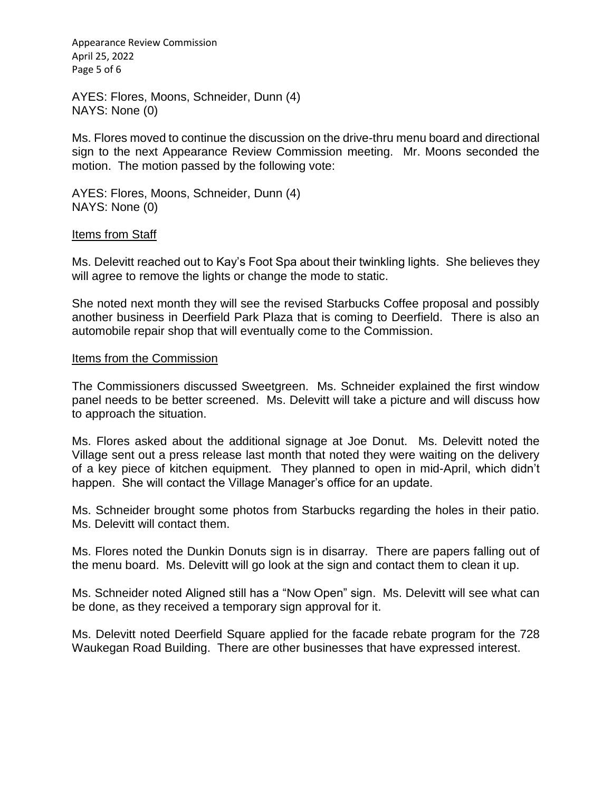Appearance Review Commission April 25, 2022 Page 5 of 6

AYES: Flores, Moons, Schneider, Dunn (4) NAYS: None (0)

Ms. Flores moved to continue the discussion on the drive-thru menu board and directional sign to the next Appearance Review Commission meeting. Mr. Moons seconded the motion. The motion passed by the following vote:

AYES: Flores, Moons, Schneider, Dunn (4) NAYS: None (0)

#### Items from Staff

Ms. Delevitt reached out to Kay's Foot Spa about their twinkling lights. She believes they will agree to remove the lights or change the mode to static.

She noted next month they will see the revised Starbucks Coffee proposal and possibly another business in Deerfield Park Plaza that is coming to Deerfield. There is also an automobile repair shop that will eventually come to the Commission.

#### Items from the Commission

The Commissioners discussed Sweetgreen. Ms. Schneider explained the first window panel needs to be better screened. Ms. Delevitt will take a picture and will discuss how to approach the situation.

Ms. Flores asked about the additional signage at Joe Donut. Ms. Delevitt noted the Village sent out a press release last month that noted they were waiting on the delivery of a key piece of kitchen equipment. They planned to open in mid-April, which didn't happen. She will contact the Village Manager's office for an update.

Ms. Schneider brought some photos from Starbucks regarding the holes in their patio. Ms. Delevitt will contact them.

Ms. Flores noted the Dunkin Donuts sign is in disarray. There are papers falling out of the menu board. Ms. Delevitt will go look at the sign and contact them to clean it up.

Ms. Schneider noted Aligned still has a "Now Open" sign. Ms. Delevitt will see what can be done, as they received a temporary sign approval for it.

Ms. Delevitt noted Deerfield Square applied for the facade rebate program for the 728 Waukegan Road Building. There are other businesses that have expressed interest.